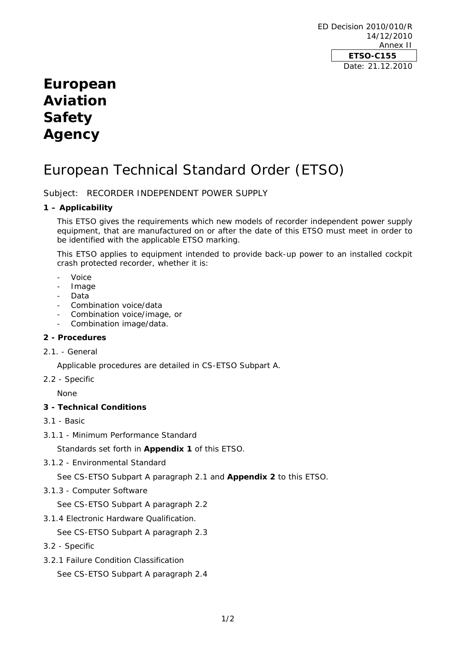ED Decision 2010/010/R 14/12/2010 Annex II **ETSO-C155**  Date: 21.12.2010

## **European Aviation Safety Agency**

# European Technical Standard Order (ETSO)

Subject: RECORDER INDEPENDENT POWER SUPPLY

## **1 – Applicability**

This ETSO gives the requirements which new models of recorder independent power supply equipment, that are manufactured on or after the date of this ETSO must meet in order to be identified with the applicable ETSO marking.

This ETSO applies to equipment intended to provide back-up power to an installed cockpit crash protected recorder, whether it is:

- Voice
- Image
- **Data**
- Combination voice/data
- Combination voice/image, or
- Combination image/data.

## **2 - Procedures**

2.1. - General

Applicable procedures are detailed in CS-ETSO Subpart A.

2.2 - Specific

None

## **3 - Technical Conditions**

- 3.1 Basic
- 3.1.1 Minimum Performance Standard

Standards set forth in **Appendix 1** of this ETSO.

3.1.2 - Environmental Standard

See CS-ETSO Subpart A paragraph 2.1 and **Appendix 2** to this ETSO.

3.1.3 - Computer Software

See CS-ETSO Subpart A paragraph 2.2

3.1.4 Electronic Hardware Qualification.

See CS-ETSO Subpart A paragraph 2.3

- 3.2 Specific
- 3.2.1 Failure Condition Classification

See CS-ETSO Subpart A paragraph 2.4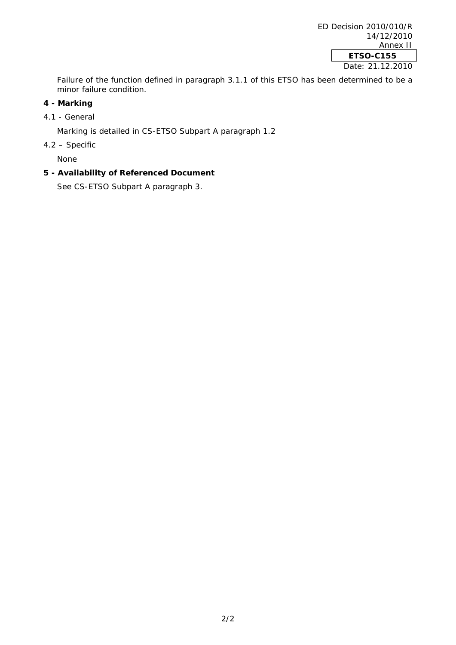Failure of the function defined in paragraph 3.1.1 of this ETSO has been determined to be a minor failure condition.

## **4 - Marking**

4.1 - General

Marking is detailed in CS-ETSO Subpart A paragraph 1.2

4.2 – Specific

None

## **5 - Availability of Referenced Document**

See CS-ETSO Subpart A paragraph 3.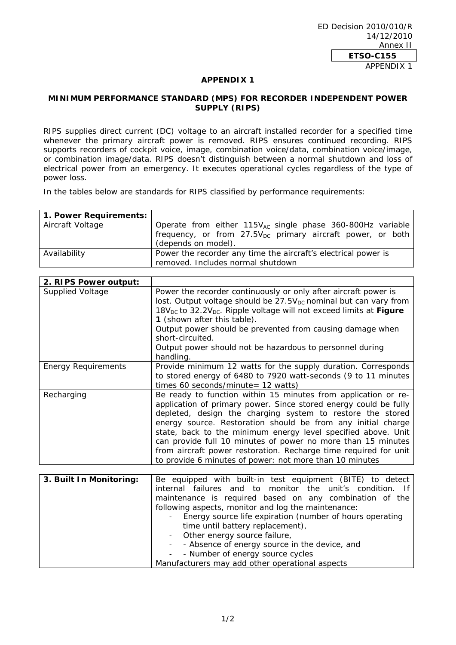## **APPENDIX 1**

## **MINIMUM PERFORMANCE STANDARD (MPS) FOR RECORDER INDEPENDENT POWER SUPPLY (RIPS)**

RIPS supplies direct current (DC) voltage to an aircraft installed recorder for a specified time whenever the primary aircraft power is removed. RIPS ensures continued recording. RIPS supports recorders of cockpit voice, image, combination voice/data, combination voice/image, or combination image/data. RIPS doesn't distinguish between a normal shutdown and loss of electrical power from an emergency. It executes operational cycles regardless of the type of power loss.

In the tables below are standards for RIPS classified by performance requirements:

| 1. Power Requirements: |                                                                                        |
|------------------------|----------------------------------------------------------------------------------------|
| Aircraft Voltage       | Operate from either $115V_{AC}$ single phase 360-800Hz variable                        |
|                        | frequency, or from $27.5V_{DC}$ primary aircraft power, or both<br>(depends on model). |
| Availability           | Power the recorder any time the aircraft's electrical power is                         |
|                        | removed. Includes normal shutdown                                                      |

| 2. RIPS Power output:      |                                                                                                                                                                                                                                                                                                                                                                                                                                                                                                                                  |
|----------------------------|----------------------------------------------------------------------------------------------------------------------------------------------------------------------------------------------------------------------------------------------------------------------------------------------------------------------------------------------------------------------------------------------------------------------------------------------------------------------------------------------------------------------------------|
| <b>Supplied Voltage</b>    | Power the recorder continuously or only after aircraft power is<br>lost. Output voltage should be 27.5V <sub>DC</sub> nominal but can vary from<br>18V <sub>DC</sub> to 32.2V <sub>DC</sub> . Ripple voltage will not exceed limits at Figure                                                                                                                                                                                                                                                                                    |
|                            | 1 (shown after this table).                                                                                                                                                                                                                                                                                                                                                                                                                                                                                                      |
|                            | Output power should be prevented from causing damage when<br>short-circuited.                                                                                                                                                                                                                                                                                                                                                                                                                                                    |
|                            | Output power should not be hazardous to personnel during<br>handling.                                                                                                                                                                                                                                                                                                                                                                                                                                                            |
| <b>Energy Requirements</b> | Provide minimum 12 watts for the supply duration. Corresponds<br>to stored energy of 6480 to 7920 watt-seconds (9 to 11 minutes<br>times 60 seconds/minute= $12$ watts)                                                                                                                                                                                                                                                                                                                                                          |
| Recharging                 | Be ready to function within 15 minutes from application or re-<br>application of primary power. Since stored energy could be fully<br>depleted, design the charging system to restore the stored<br>energy source. Restoration should be from any initial charge<br>state, back to the minimum energy level specified above. Unit<br>can provide full 10 minutes of power no more than 15 minutes<br>from aircraft power restoration. Recharge time required for unit<br>to provide 6 minutes of power: not more than 10 minutes |
| 3. Built In Monitoring:    | Be equipped with built-in test equipment (BITE) to detect<br>internal failures and to<br>monitor the unit's condition.<br>- If<br>maintenance is required based on any combination of the<br>following aspects, monitor and log the maintenance:<br>Energy source life expiration (number of hours operating<br>time until battery replacement),<br>Other energy source failure,<br>- Absence of energy source in the device, and                                                                                                |

1/2

- Number of energy source cycles Manufacturers may add other operational aspects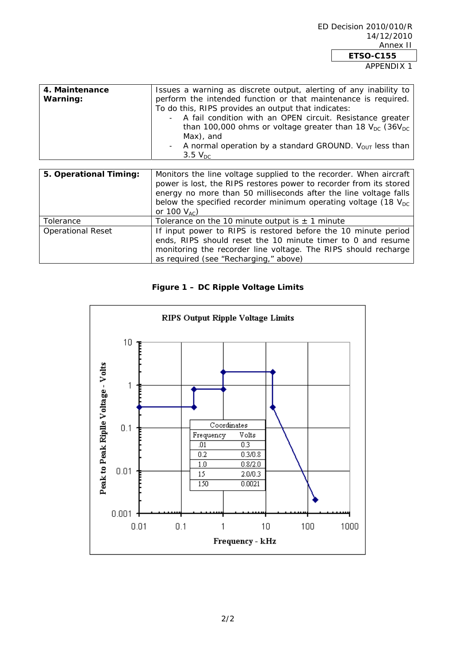APPENDIX 1

| 4. Maintenance<br>Warning: | Issues a warning as discrete output, alerting of any inability to<br>perform the intended function or that maintenance is required.<br>To do this, RIPS provides an output that indicates:<br>A fail condition with an OPEN circuit. Resistance greater<br>than 100,000 ohms or voltage greater than 18 $V_{DC}$ (36 $V_{DC}$<br>Max), and<br>- A normal operation by a standard GROUND. $V_{\text{OUT}}$ less than<br>$3.5 V_{DC}$ |  |
|----------------------------|-------------------------------------------------------------------------------------------------------------------------------------------------------------------------------------------------------------------------------------------------------------------------------------------------------------------------------------------------------------------------------------------------------------------------------------|--|
| 5. Operational Timing:     | Monitors the line voltage supplied to the recorder. When aircraft<br>power is lost, the RIPS restores power to recorder from its stored<br>energy no more than 50 milliseconds after the line voltage falls<br>below the specified recorder minimum operating voltage (18 $V_{\text{DC}}$ )<br>or 100 $V_{AC}$ )                                                                                                                    |  |
| <b>Toloranco</b>           | Tolorance on the 10 minute output $x + 1$ minute                                                                                                                                                                                                                                                                                                                                                                                    |  |

| Tolerance         | Tolerance on the 10 minute output is $\pm$ 1 minute            |
|-------------------|----------------------------------------------------------------|
| Operational Reset | If input power to RIPS is restored before the 10 minute period |
|                   | ends, RIPS should reset the 10 minute timer to 0 and resume    |
|                   | monitoring the recorder line voltage. The RIPS should recharge |
|                   | as required (see "Recharging," above)                          |

## **Figure 1 – DC Ripple Voltage Limits**